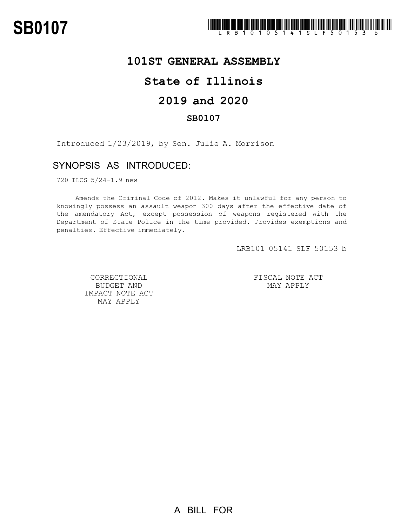

# **101ST GENERAL ASSEMBLY**

## **State of Illinois**

# **2019 and 2020**

### **SB0107**

Introduced 1/23/2019, by Sen. Julie A. Morrison

## SYNOPSIS AS INTRODUCED:

720 ILCS 5/24-1.9 new

Amends the Criminal Code of 2012. Makes it unlawful for any person to knowingly possess an assault weapon 300 days after the effective date of the amendatory Act, except possession of weapons registered with the Department of State Police in the time provided. Provides exemptions and penalties. Effective immediately.

LRB101 05141 SLF 50153 b

CORRECTIONAL BUDGET AND IMPACT NOTE ACT MAY APPLY

FISCAL NOTE ACT MAY APPLY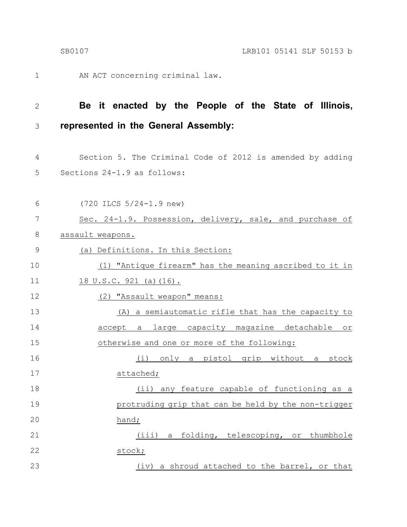6

AN ACT concerning criminal law. 1

(720 ILCS 5/24-1.9 new)

#### **Be it enacted by the People of the State of Illinois, represented in the General Assembly:** 2 3

- Section 5. The Criminal Code of 2012 is amended by adding Sections 24-1.9 as follows: 4 5
- Sec. 24-1.9. Possession, delivery, sale, and purchase of assault weapons. (a) Definitions. In this Section: (1) "Antique firearm" has the meaning ascribed to it in 18 U.S.C. 921 (a)(16). 7 8 9 10 11
- (2) "Assault weapon" means: (A) a semiautomatic rifle that has the capacity to accept a large capacity magazine detachable or otherwise and one or more of the following: (i) only a pistol grip without a stock attached; (ii) any feature capable of functioning as a protruding grip that can be held by the non-trigger hand; 12 13 14 15 16 17 18 19 20 21
- (iii) a folding, telescoping, or thumbhole stock; (iv) a shroud attached to the barrel, or that 22 23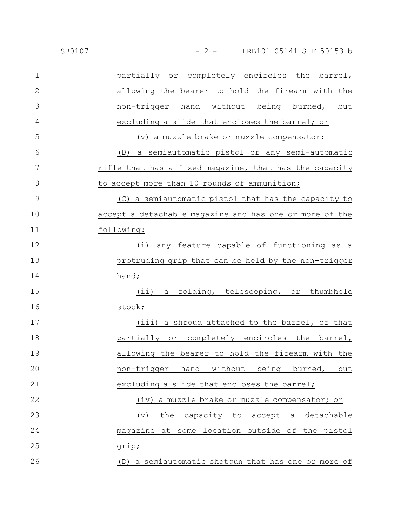| $\mathbf 1$   | partially or completely encircles the barrel,               |
|---------------|-------------------------------------------------------------|
| $\mathbf{2}$  | allowing the bearer to hold the firearm with the            |
| 3             | non-trigger hand without being burned, but                  |
| 4             | excluding a slide that encloses the barrel; or              |
| 5             | (v) a muzzle brake or muzzle compensator;                   |
| 6             | a semiautomatic pistol or any semi-automatic<br>(B)         |
| 7             | rifle that has a fixed magazine, that has the capacity      |
| 8             | to accept more than 10 rounds of ammunition;                |
| $\mathcal{G}$ | (C) a semiautomatic pistol that has the capacity to         |
| 10            | accept a detachable magazine and has one or more of the     |
| 11            | following:                                                  |
| 12            | (i)<br>any feature capable of functioning as a              |
| 13            | protruding grip that can be held by the non-trigger         |
| 14            | hand;                                                       |
| 15            | (ii) a folding, telescoping, or thumbhole                   |
| 16            | stock;                                                      |
| 17            | (iii) a shroud attached to the barrel, or that              |
| 18            | partially or completely encircles the barrel,               |
| 19            | allowing the bearer to hold the firearm with the            |
| 20            | non-trigger hand without being burned, but                  |
| 21            | excluding a slide that encloses the barrel;                 |
| 22            | (iv) a muzzle brake or muzzle compensator; or               |
| 23            | the<br>capacity to accept a detachable<br>$(\triangledown)$ |
| 24            | magazine at some location outside of the pistol             |
| 25            | grip;                                                       |
| 26            | (D) a semiautomatic shotgun that has one or more of         |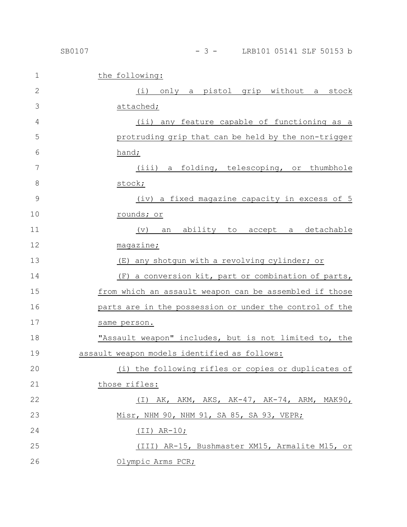| $\mathbf 1$  | the following:                                          |
|--------------|---------------------------------------------------------|
| $\mathbf{2}$ | (i) only a pistol grip without a stock                  |
| 3            | attached;                                               |
| 4            | (ii) any feature capable of functioning as a            |
| 5            | protruding grip that can be held by the non-trigger     |
| 6            |                                                         |
|              | hand;                                                   |
| 7            | (iii) a folding, telescoping, or thumbhole              |
| 8            | stock;                                                  |
| 9            | (iv) a fixed magazine capacity in excess of 5           |
| 10           | rounds; or                                              |
| 11           | ability to accept a detachable<br>(v)<br>an             |
| 12           | magazing                                                |
| 13           | (E) any shotgun with a revolving cylinder; or           |
| 14           | (F) a conversion kit, part or combination of parts,     |
| 15           | from which an assault weapon can be assembled if those  |
| 16           | parts are in the possession or under the control of the |
| 17           | same person.                                            |
| 18           | "Assault weapon" includes, but is not limited to, the   |
| 19           | assault weapon models identified as follows:            |
| 20           | (i) the following rifles or copies or duplicates of     |
| 21           | those rifles:                                           |
| 22           | $(I)$ AK, AKM, AKS, AK-47, AK-74, ARM, MAK90,           |
| 23           | Misr, NHM 90, NHM 91, SA 85, SA 93, VEPR;               |
| 24           | $(II)$ AR-10;                                           |
| 25           | (III) AR-15, Bushmaster XM15, Armalite M15, or          |
| 26           | Olympic Arms PCR;                                       |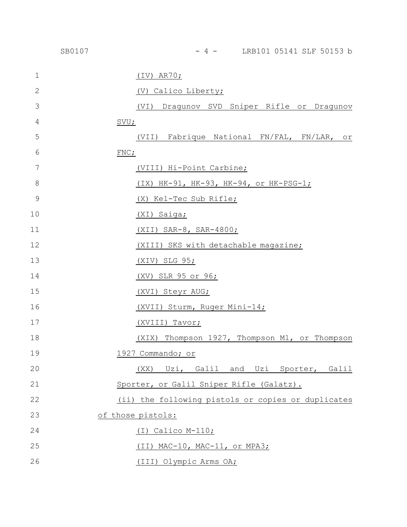|               | SB0107 | - 4 - LRB101 05141 SLF 50153 b                     |
|---------------|--------|----------------------------------------------------|
| $\mathbf{1}$  |        | $(IV)$ AR70;                                       |
| 2             |        | (V) Calico Liberty;                                |
| 3             |        | (VI) Dragunov SVD Sniper Rifle or Dragunov         |
| 4             |        | SVU;                                               |
| 5             |        | (VII) Fabrique National FN/FAL, FN/LAR, or         |
| 6             |        | FNC;                                               |
| 7             |        | <u>(VIII) Hi-Point Carbine;</u>                    |
| 8             |        | (IX) HK-91, HK-93, HK-94, or HK-PSG-1;             |
| $\mathcal{G}$ |        | (X) Kel-Tec Sub Rifle;                             |
| 10            |        | (XI) Saiga;                                        |
| 11            |        | (XII) SAR-8, SAR-4800;                             |
| 12            |        | (XIII) SKS with detachable magazine;               |
| 13            |        | $(XIV)$ SLG 95;                                    |
| 14            |        | (XV) SLR 95 or 96;                                 |
| 15            |        | (XVI) Steyr AUG;                                   |
| 16            |        | (XVII) Sturm, Ruger Mini-14;                       |
| 17            |        | (XVIII) Tavor;                                     |
| 18            |        | (XIX) Thompson 1927, Thompson M1, or Thompson      |
| 19            |        | 1927 Commando; or                                  |
| 20            |        | Uzi, Galil and Uzi Sporter, Galil<br>(XX)          |
| 21            |        | Sporter, or Galil Sniper Rifle (Galatz).           |
| 22            |        | (ii) the following pistols or copies or duplicates |
| 23            |        | of those pistols:                                  |
| 24            |        | $(I)$ Calico M-110;                                |
| 25            |        | (II) MAC-10, MAC-11, or MPA3;                      |
| 26            |        | (III) Olympic Arms OA;                             |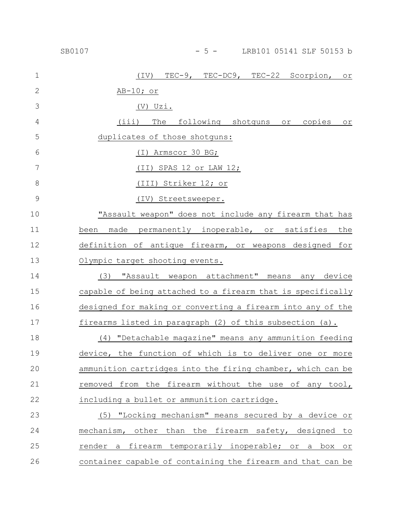| $\mathbf 1$     | TEC-9, TEC-DC9, TEC-22 Scorpion, or<br>$(\text{IV})$        |
|-----------------|-------------------------------------------------------------|
| $\mathbf{2}$    | <u>AB-10; or</u>                                            |
| 3               | $(V)$ Uzi.                                                  |
| 4               | (iii) The following shotguns or copies or                   |
| 5               | duplicates of those shotguns:                               |
| $6\phantom{1}6$ | (I) Armscor 30 BG;                                          |
| 7               | (II) SPAS 12 or LAW 12;                                     |
| $\,8\,$         | (III) Striker 12; or                                        |
| $\mathcal{G}$   | (IV) Streetsweeper.                                         |
| 10              | "Assault weapon" does not include any firearm that has      |
| 11              | been<br>made permanently inoperable, or satisfies<br>the    |
| 12              | definition of antique firearm, or weapons designed for      |
| 13              | Olympic target shooting events.                             |
| 14              | "Assault weapon attachment" means<br>any device<br>(3)      |
| 15              | capable of being attached to a firearm that is specifically |
| 16              | designed for making or converting a firearm into any of the |
| 17              | firearms listed in paragraph (2) of this subsection (a).    |
| 18              | (4) "Detachable magazine" means any ammunition feeding      |
| 19              | device, the function of which is to deliver one or more     |
| 20              | ammunition cartridges into the firing chamber, which can be |
| 21              | removed from the firearm without the use of any tool,       |
| 22              | including a bullet or ammunition cartridge.                 |
| 23              | (5) "Locking mechanism" means secured by a device or        |
| 24              | mechanism, other than the firearm safety, designed to       |
| 25              | render a firearm temporarily inoperable; or a box or        |
| 26              | container capable of containing the firearm and that can be |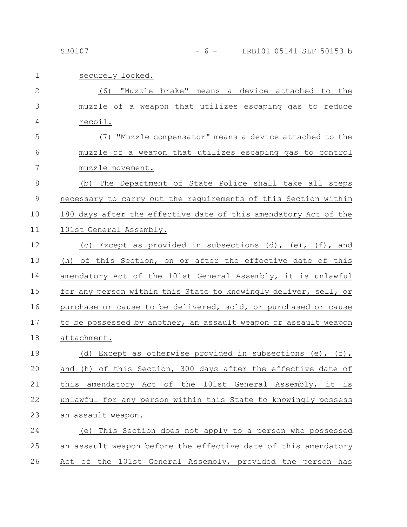| $\mathbf 1$  | securely locked.                                                |
|--------------|-----------------------------------------------------------------|
| $\mathbf{2}$ | "Muzzle brake" means a device attached to the<br>(6)            |
| 3            | muzzle of a weapon that utilizes escaping gas to reduce         |
| 4            | recoil.                                                         |
| 5            | (7) "Muzzle compensator" means a device attached to the         |
| 6            | muzzle of a weapon that utilizes escaping gas to control        |
| 7            | muzzle movement.                                                |
| $8\,$        | (b) The Department of State Police shall take all steps         |
| $\mathsf 9$  | necessary to carry out the requirements of this Section within  |
| 10           | 180 days after the effective date of this amendatory Act of the |
| 11           | 101st General Assembly.                                         |
| 12           | (c) Except as provided in subsections (d), (e), (f), and        |
| 13           | (h) of this Section, on or after the effective date of this     |
| 14           | amendatory Act of the 101st General Assembly, it is unlawful    |
| 15           | for any person within this State to knowingly deliver, sell, or |
| 16           | purchase or cause to be delivered, sold, or purchased or cause  |
| 17           | to be possessed by another, an assault weapon or assault weapon |
| 18           | attachment.                                                     |
| 19           | (d) Except as otherwise provided in subsections (e), (f),       |
| 20           | and (h) of this Section, 300 days after the effective date of   |
| 21           | this amendatory Act of the 101st General Assembly, it is        |
| 22           | unlawful for any person within this State to knowingly possess  |
| 23           | an assault weapon.                                              |
| 24           | (e) This Section does not apply to a person who possessed       |
| 25           | an assault weapon before the effective date of this amendatory  |
| 26           | Act of the 101st General Assembly, provided the person has      |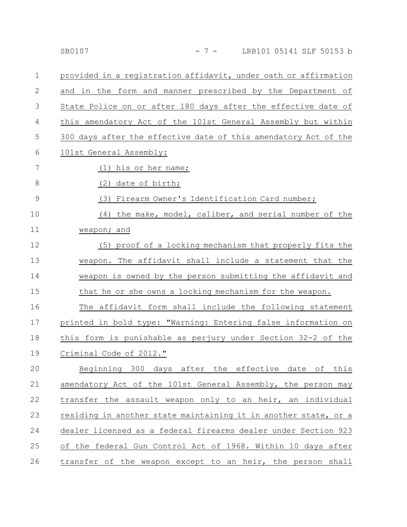|               | SB0107<br>$-7-$<br>LRB101 05141 SLF 50153 b                     |
|---------------|-----------------------------------------------------------------|
| 1             | provided in a registration affidavit, under oath or affirmation |
| 2             | and in the form and manner prescribed by the Department of      |
| 3             | State Police on or after 180 days after the effective date of   |
| 4             | this amendatory Act of the 101st General Assembly but within    |
| 5             | 300 days after the effective date of this amendatory Act of the |
| 6             | 101st General Assembly:                                         |
| 7             | (1) his or her name;                                            |
| 8             | (2) date of birth;                                              |
| $\mathcal{G}$ | (3)<br>Firearm Owner's Identification Card number;              |
| 10            | the make, model, caliber, and serial number of the<br>(4)       |
| 11            | weapon; and                                                     |
| 12            | (5) proof of a locking mechanism that properly fits the         |
| 13            | weapon. The affidavit shall include a statement that the        |
| 14            | weapon is owned by the person submitting the affidavit and      |
| 15            | that he or she owns a locking mechanism for the weapon.         |
| 16            | The affidavit form shall include the following statement        |
| 17            | printed in bold type: "Warning: Entering false information on   |
| 18            | this form is punishable as perjury under Section 32-2 of the    |
| 19            | Criminal Code of 2012."                                         |
| 20            | Beginning 300 days after the effective date of this             |
| 21            | amendatory Act of the 101st General Assembly, the person may    |
| 22            | transfer the assault weapon only to an heir, an individual      |
| 23            | residing in another state maintaining it in another state, or a |
| 24            | dealer licensed as a federal firearms dealer under Section 923  |

of the federal Gun Control Act of 1968. Within 10 days after transfer of the weapon except to an heir, the person shall 25 26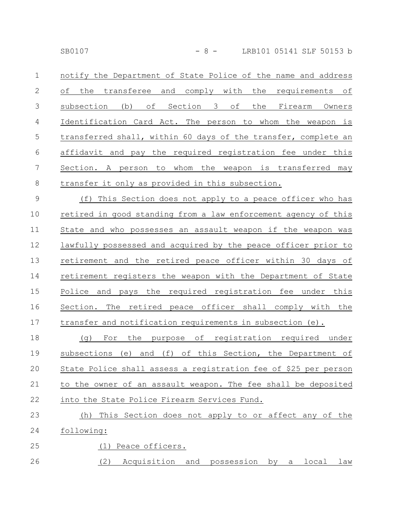SB0107 - 8 - LRB101 05141 SLF 50153 b

notify the Department of State Police of the name and address of the transferee and comply with the requirements of subsection (b) of Section 3 of the Firearm Owners Identification Card Act. The person to whom the weapon is transferred shall, within 60 days of the transfer, complete an affidavit and pay the required registration fee under this Section. A person to whom the weapon is transferred may transfer it only as provided in this subsection. 1 2 3 4 5 6 7 8

(f) This Section does not apply to a peace officer who has retired in good standing from a law enforcement agency of this State and who possesses an assault weapon if the weapon was lawfully possessed and acquired by the peace officer prior to retirement and the retired peace officer within 30 days of retirement registers the weapon with the Department of State Police and pays the required registration fee under this Section. The retired peace officer shall comply with the transfer and notification requirements in subsection (e). 9 10 11 12 13 14 15 16 17

(g) For the purpose of registration required under subsections (e) and (f) of this Section, the Department of State Police shall assess a registration fee of \$25 per person to the owner of an assault weapon. The fee shall be deposited into the State Police Firearm Services Fund. 18 19 20 21 22

### (h) This Section does not apply to or affect any of the following: (1) Peace officers. 23 24 25

(2) Acquisition and possession by a local law 26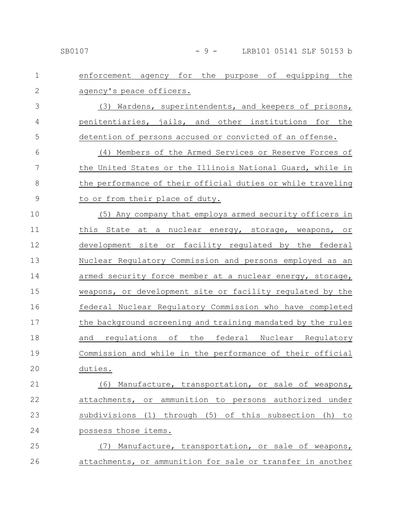### SB0107 - 9 - LRB101 05141 SLF 50153 b

| $\mathbf 1$   | enforcement agency for the purpose of equipping the         |
|---------------|-------------------------------------------------------------|
| $\mathbf{2}$  | agency's peace officers.                                    |
| 3             | (3) Wardens, superintendents, and keepers of prisons,       |
| 4             | penitentiaries, jails, and other institutions for the       |
| 5             | detention of persons accused or convicted of an offense.    |
| 6             | (4) Members of the Armed Services or Reserve Forces of      |
| 7             | the United States or the Illinois National Guard, while in  |
| $8\,$         | the performance of their official duties or while traveling |
| $\mathcal{G}$ | to or from their place of duty.                             |
| 10            | (5) Any company that employs armed security officers in     |
| 11            | this State<br>at a nuclear energy, storage, weapons, or     |
| 12            | development site or facility regulated by the federal       |
| 13            | Nuclear Regulatory Commission and persons employed as an    |
| 14            | armed security force member at a nuclear energy, storage,   |
| 15            | weapons, or development site or facility requlated by the   |
| 16            | federal Nuclear Regulatory Commission who have completed    |
| 17            | the background screening and training mandated by the rules |
| 18            | regulations of the federal Nuclear Regulatory<br>and        |
| 19            | Commission and while in the performance of their official   |
| 20            | duties.                                                     |
| 21            | (6) Manufacture, transportation, or sale of weapons,        |
| 22            | attachments, or ammunition to persons authorized under      |
| 23            | subdivisions (1) through (5) of this subsection (h)<br>to   |
| 24            | possess those items.                                        |
| 25            | (7) Manufacture, transportation, or sale of weapons,        |
| 26            | attachments, or ammunition for sale or transfer in another  |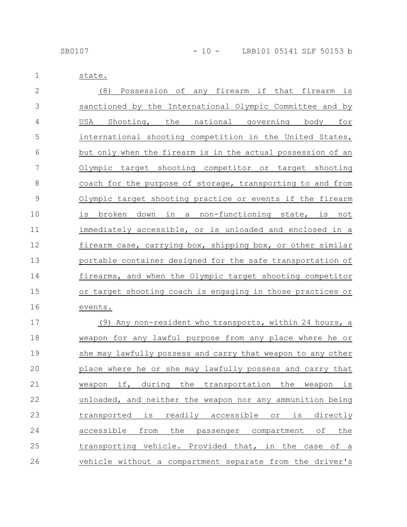1 state.

| $\mathbf{2}$ | (8) Possession of any firearm if that firearm is                                    |
|--------------|-------------------------------------------------------------------------------------|
| 3            | sanctioned by the International Olympic Committee and by                            |
| 4            | Shooting, the national governing body for<br>USA                                    |
| 5            | international shooting competition in the United States,                            |
| 6            | but only when the firearm is in the actual possession of an                         |
| 7            | Olympic target shooting competitor or target shooting                               |
| 8            | coach for the purpose of storage, transporting to and from                          |
| $\mathsf 9$  | <u>Olympic target shooting practice or events if the firearm</u>                    |
| 10           | broken down in a non-functioning state, is not<br>is                                |
| 11           | immediately accessible, or is unloaded and enclosed in a                            |
| 12           | firearm case, carrying box, shipping box, or other similar                          |
| 13           | portable container designed for the safe transportation of                          |
| 14           | firearms, and when the Olympic target shooting competitor                           |
| 15           | or target shooting coach is engaging in those practices or                          |
| 16           | events.                                                                             |
| 17           | (9) Any non-resident who transports, within 24 hours, a                             |
| 18           | weapon for any lawful purpose from any place where he or                            |
| 19           | she may lawfully possess and carry that weapon to any other                         |
| 20           | place where he or she may lawfully possess and carry that                           |
| 21           | if,<br>during<br>the<br>transportation<br>the<br>weapon<br>weapon<br>$\frac{1}{2}S$ |
| 22           | unloaded, and neither the weapon nor any ammunition being                           |
| 23           | is<br>readily accessible<br>is<br>directly<br>transported<br>$\circ$ r              |
| 24           | accessible<br>from<br>the passenger compartment of<br>the                           |
| 25           | transporting vehicle. Provided that, in the case of a                               |
| 26           | vehicle without a compartment separate from the driver's                            |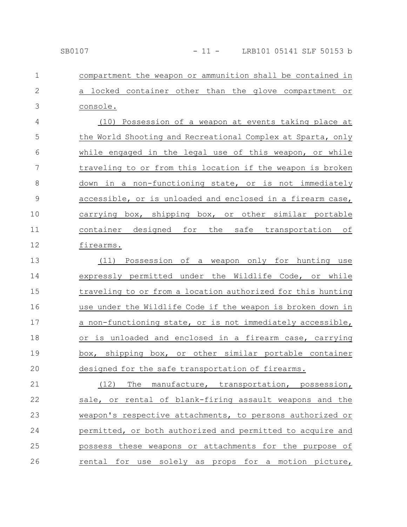#### SB0107 - 11 - LRB101 05141 SLF 50153 b

compartment the weapon or ammunition shall be contained in a locked container other than the glove compartment or console. 1 2 3

(10) Possession of a weapon at events taking place at the World Shooting and Recreational Complex at Sparta, only while engaged in the legal use of this weapon, or while traveling to or from this location if the weapon is broken down in a non-functioning state, or is not immediately accessible, or is unloaded and enclosed in a firearm case, carrying box, shipping box, or other similar portable container designed for the safe transportation of firearms. 4 5 6 7 8 9 10 11 12

(11) Possession of a weapon only for hunting use expressly permitted under the Wildlife Code, or while traveling to or from a location authorized for this hunting use under the Wildlife Code if the weapon is broken down in a non-functioning state, or is not immediately accessible, or is unloaded and enclosed in a firearm case, carrying box, shipping box, or other similar portable container designed for the safe transportation of firearms. 13 14 15 16 17 18 19 20

(12) The manufacture, transportation, possession, sale, or rental of blank-firing assault weapons and the weapon's respective attachments, to persons authorized or permitted, or both authorized and permitted to acquire and possess these weapons or attachments for the purpose of rental for use solely as props for a motion picture, 21 22 23 24 25 26